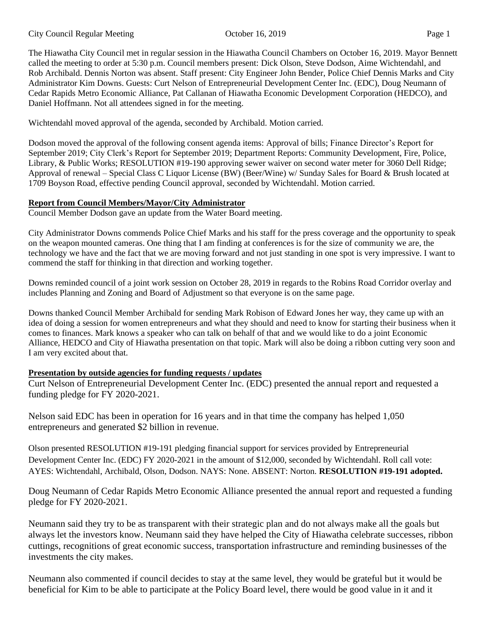The Hiawatha City Council met in regular session in the Hiawatha Council Chambers on October 16, 2019. Mayor Bennett called the meeting to order at 5:30 p.m. Council members present: Dick Olson, Steve Dodson, Aime Wichtendahl, and Rob Archibald. Dennis Norton was absent. Staff present: City Engineer John Bender, Police Chief Dennis Marks and City Administrator Kim Downs. Guests: Curt Nelson of Entrepreneurial Development Center Inc. (EDC), Doug Neumann of Cedar Rapids Metro Economic Alliance, Pat Callanan of Hiawatha Economic Development Corporation (HEDCO), and Daniel Hoffmann. Not all attendees signed in for the meeting.

Wichtendahl moved approval of the agenda, seconded by Archibald. Motion carried.

Dodson moved the approval of the following consent agenda items: Approval of bills; Finance Director's Report for September 2019; City Clerk's Report for September 2019; Department Reports: Community Development, Fire, Police, Library, & Public Works; RESOLUTION #19-190 approving sewer waiver on second water meter for 3060 Dell Ridge; Approval of renewal – Special Class C Liquor License (BW) (Beer/Wine) w/ Sunday Sales for Board & Brush located at 1709 Boyson Road, effective pending Council approval, seconded by Wichtendahl. Motion carried.

# **Report from Council Members/Mayor/City Administrator**

Council Member Dodson gave an update from the Water Board meeting.

City Administrator Downs commends Police Chief Marks and his staff for the press coverage and the opportunity to speak on the weapon mounted cameras. One thing that I am finding at conferences is for the size of community we are, the technology we have and the fact that we are moving forward and not just standing in one spot is very impressive. I want to commend the staff for thinking in that direction and working together.

Downs reminded council of a joint work session on October 28, 2019 in regards to the Robins Road Corridor overlay and includes Planning and Zoning and Board of Adjustment so that everyone is on the same page.

Downs thanked Council Member Archibald for sending Mark Robison of Edward Jones her way, they came up with an idea of doing a session for women entrepreneurs and what they should and need to know for starting their business when it comes to finances. Mark knows a speaker who can talk on behalf of that and we would like to do a joint Economic Alliance, HEDCO and City of Hiawatha presentation on that topic. Mark will also be doing a ribbon cutting very soon and I am very excited about that.

# **Presentation by outside agencies for funding requests / updates**

Curt Nelson of Entrepreneurial Development Center Inc. (EDC) presented the annual report and requested a funding pledge for FY 2020-2021.

Nelson said EDC has been in operation for 16 years and in that time the company has helped 1,050 entrepreneurs and generated \$2 billion in revenue.

Olson presented RESOLUTION #19-191 pledging financial support for services provided by Entrepreneurial Development Center Inc. (EDC) FY 2020-2021 in the amount of \$12,000, seconded by Wichtendahl. Roll call vote: AYES: Wichtendahl, Archibald, Olson, Dodson. NAYS: None. ABSENT: Norton. **RESOLUTION #19-191 adopted.** 

Doug Neumann of Cedar Rapids Metro Economic Alliance presented the annual report and requested a funding pledge for FY 2020-2021.

Neumann said they try to be as transparent with their strategic plan and do not always make all the goals but always let the investors know. Neumann said they have helped the City of Hiawatha celebrate successes, ribbon cuttings, recognitions of great economic success, transportation infrastructure and reminding businesses of the investments the city makes.

Neumann also commented if council decides to stay at the same level, they would be grateful but it would be beneficial for Kim to be able to participate at the Policy Board level, there would be good value in it and it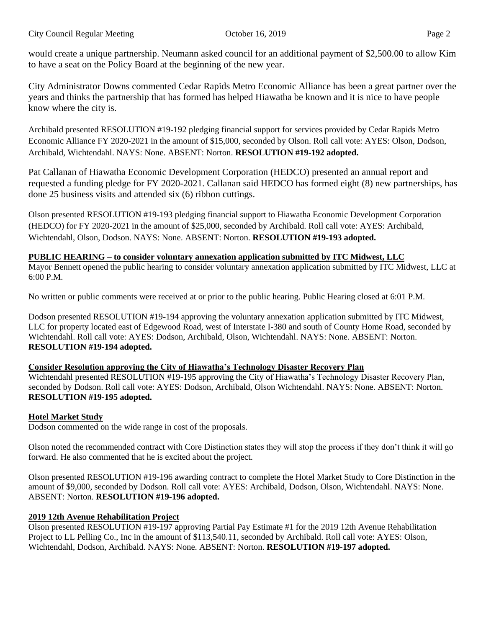would create a unique partnership. Neumann asked council for an additional payment of \$2,500.00 to allow Kim to have a seat on the Policy Board at the beginning of the new year.

City Administrator Downs commented Cedar Rapids Metro Economic Alliance has been a great partner over the years and thinks the partnership that has formed has helped Hiawatha be known and it is nice to have people know where the city is.

Archibald presented RESOLUTION #19-192 pledging financial support for services provided by Cedar Rapids Metro Economic Alliance FY 2020-2021 in the amount of \$15,000, seconded by Olson. Roll call vote: AYES: Olson, Dodson, Archibald, Wichtendahl. NAYS: None. ABSENT: Norton. **RESOLUTION #19-192 adopted.** 

Pat Callanan of Hiawatha Economic Development Corporation (HEDCO) presented an annual report and requested a funding pledge for FY 2020-2021. Callanan said HEDCO has formed eight (8) new partnerships, has done 25 business visits and attended six (6) ribbon cuttings.

Olson presented RESOLUTION #19-193 pledging financial support to Hiawatha Economic Development Corporation (HEDCO) for FY 2020-2021 in the amount of \$25,000, seconded by Archibald. Roll call vote: AYES: Archibald, Wichtendahl, Olson, Dodson. NAYS: None. ABSENT: Norton. **RESOLUTION #19-193 adopted.** 

**PUBLIC HEARING – to consider voluntary annexation application submitted by ITC Midwest, LLC** Mayor Bennett opened the public hearing to consider voluntary annexation application submitted by ITC Midwest, LLC at 6:00 P.M.

No written or public comments were received at or prior to the public hearing. Public Hearing closed at 6:01 P.M.

Dodson presented RESOLUTION #19-194 approving the voluntary annexation application submitted by ITC Midwest, LLC for property located east of Edgewood Road, west of Interstate I-380 and south of County Home Road, seconded by Wichtendahl. Roll call vote: AYES: Dodson, Archibald, Olson, Wichtendahl. NAYS: None. ABSENT: Norton. **RESOLUTION #19-194 adopted.** 

# **Consider Resolution approving the City of Hiawatha's Technology Disaster Recovery Plan**

Wichtendahl presented RESOLUTION #19-195 approving the City of Hiawatha's Technology Disaster Recovery Plan, seconded by Dodson. Roll call vote: AYES: Dodson, Archibald, Olson Wichtendahl. NAYS: None. ABSENT: Norton. **RESOLUTION #19-195 adopted.** 

# **Hotel Market Study**

Dodson commented on the wide range in cost of the proposals.

Olson noted the recommended contract with Core Distinction states they will stop the process if they don't think it will go forward. He also commented that he is excited about the project.

Olson presented RESOLUTION #19-196 awarding contract to complete the Hotel Market Study to Core Distinction in the amount of \$9,000, seconded by Dodson. Roll call vote: AYES: Archibald, Dodson, Olson, Wichtendahl. NAYS: None. ABSENT: Norton. **RESOLUTION #19-196 adopted.** 

# **2019 12th Avenue Rehabilitation Project**

Olson presented RESOLUTION #19-197 approving Partial Pay Estimate #1 for the 2019 12th Avenue Rehabilitation Project to LL Pelling Co., Inc in the amount of \$113,540.11, seconded by Archibald. Roll call vote: AYES: Olson, Wichtendahl, Dodson, Archibald. NAYS: None. ABSENT: Norton. **RESOLUTION #19-197 adopted.**